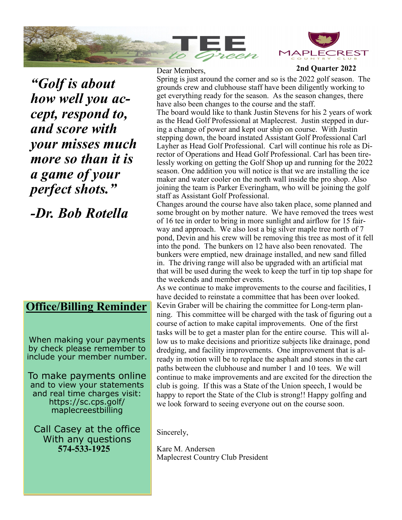



**2nd Quarter 2022**

*"Golf is about how well you accept, respond to, and score with your misses much more so than it is a game of your perfect shots."*

*-Dr. Bob Rotella*

## **Office/Billing Reminder**

When making your payments by check please remember to include your member number.

To make payments online and to view your statements and real time charges visit: https://sc.cps.golf/ maplecreestbilling

Call Casey at the office With any questions  **574-533-1925**

Dear Members,

Spring is just around the corner and so is the 2022 golf season. The grounds crew and clubhouse staff have been diligently working to get everything ready for the season. As the season changes, there have also been changes to the course and the staff.

The board would like to thank Justin Stevens for his 2 years of work as the Head Golf Professional at Maplecrest. Justin stepped in during a change of power and kept our ship on course. With Justin stepping down, the board instated Assistant Golf Professional Carl Layher as Head Golf Professional. Carl will continue his role as Director of Operations and Head Golf Professional. Carl has been tirelessly working on getting the Golf Shop up and running for the 2022 season. One addition you will notice is that we are installing the ice maker and water cooler on the north wall inside the pro shop. Also joining the team is Parker Everingham, who will be joining the golf staff as Assistant Golf Professional.

Changes around the course have also taken place, some planned and some brought on by mother nature. We have removed the trees west of 16 tee in order to bring in more sunlight and airflow for 15 fairway and approach. We also lost a big silver maple tree north of 7 pond, Devin and his crew will be removing this tree as most of it fell into the pond. The bunkers on 12 have also been renovated. The bunkers were emptied, new drainage installed, and new sand filled in. The driving range will also be upgraded with an artificial mat that will be used during the week to keep the turf in tip top shape for the weekends and member events.

As we continue to make improvements to the course and facilities, I have decided to reinstate a committee that has been over looked. Kevin Graber will be chairing the committee for Long-term planning. This committee will be charged with the task of figuring out a course of action to make capital improvements. One of the first tasks will be to get a master plan for the entire course. This will allow us to make decisions and prioritize subjects like drainage, pond dredging, and facility improvements. One improvement that is already in motion will be to replace the asphalt and stones in the cart paths between the clubhouse and number 1 and 10 tees. We will continue to make improvements and are excited for the direction the club is going. If this was a State of the Union speech, I would be happy to report the State of the Club is strong!! Happy golfing and we look forward to seeing everyone out on the course soon.

Sincerely,

Kare M. Andersen Maplecrest Country Club President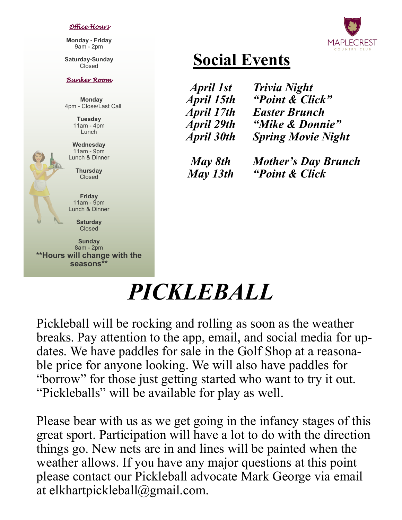#### *Office Hours*

**Monday - Friday** 9am - 2pm

**Saturday-Sunday** Closed

#### *Bunker Room*

 **Monday** 4pm - Close/Last Call

> **Tuesday** 11am - 4pm Lunch

**Wednesday** 11am - 9pm Lunch & Dinner

> **Thursday Closed**

**Friday** 11am - 9pm Lunch & Dinner

> **Saturday** Closed

**Sunday** 8am - 2pm **\*\*Hours will change with the seasons\*\***

**Social Events** *Trivia Night*

*April 1st April 15th April 17th April 29th April 30th*

*"Point & Click" Easter Brunch "Mike & Donnie" Spring Movie Night*

*May 8th May 13th Mother's Day Brunch "Point & Click*

# *PICKLEBALL*

Pickleball will be rocking and rolling as soon as the weather breaks. Pay attention to the app, email, and social media for updates. We have paddles for sale in the Golf Shop at a reasonable price for anyone looking. We will also have paddles for "borrow" for those just getting started who want to try it out. "Pickleballs" will be available for play as well.

Please bear with us as we get going in the infancy stages of this great sport. Participation will have a lot to do with the direction things go. New nets are in and lines will be painted when the weather allows. If you have any major questions at this point please contact our Pickleball advocate Mark George via email at elkhartpickleball@gmail.com.

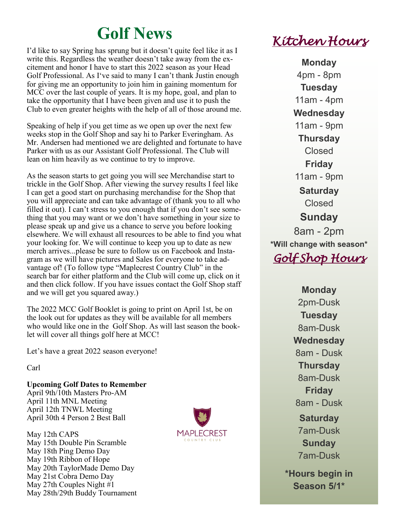# **Golf News**

I'd like to say Spring has sprung but it doesn't quite feel like it as I write this. Regardless the weather doesn't take away from the excitement and honor I have to start this 2022 season as your Head Golf Professional. As I've said to many I can't thank Justin enough for giving me an opportunity to join him in gaining momentum for MCC over the last couple of years. It is my hope, goal, and plan to take the opportunity that I have been given and use it to push the Club to even greater heights with the help of all of those around me.

Speaking of help if you get time as we open up over the next few weeks stop in the Golf Shop and say hi to Parker Everingham. As Mr. Andersen had mentioned we are delighted and fortunate to have Parker with us as our Assistant Golf Professional. The Club will lean on him heavily as we continue to try to improve.

As the season starts to get going you will see Merchandise start to trickle in the Golf Shop. After viewing the survey results I feel like I can get a good start on purchasing merchandise for the Shop that you will appreciate and can take advantage of (thank you to all who filled it out). I can't stress to you enough that if you don't see something that you may want or we don't have something in your size to please speak up and give us a chance to serve you before looking elsewhere. We will exhaust all resources to be able to find you what your looking for. We will continue to keep you up to date as new merch arrives...please be sure to follow us on Facebook and Instagram as we will have pictures and Sales for everyone to take advantage of! (To follow type "Maplecrest Country Club" in the search bar for either platform and the Club will come up, click on it and then click follow. If you have issues contact the Golf Shop staff and we will get you squared away.)

The 2022 MCC Golf Booklet is going to print on April 1st, be on the look out for updates as they will be available for all members who would like one in the Golf Shop. As will last season the booklet will cover all things golf here at MCC!

Let's have a great 2022 season everyone!

Carl

**Upcoming Golf Dates to Remember** April 9th/10th Masters Pro-AM April 11th MNL Meeting April 12th TNWL Meeting April 30th 4 Person 2 Best Ball

May 12th CAPS May 15th Double Pin Scramble May 18th Ping Demo Day May 19th Ribbon of Hope May 20th TaylorMade Demo Day May 21st Cobra Demo Day May 27th Couples Night #1 May 28th/29th Buddy Tournament



*Kitchen Hours* 

**Monday** 4pm - 8pm **Tuesday** 11am - 4pm **Wednesday** 11am - 9pm **Thursday** Closed **Friday** 11am - 9pm **Saturday** Closed **Sunday** 8am - 2pm **\*Will change with season\*** *Golf Shop Hours* 

> **Monday** 2pm-Dusk **Tuesday** 8am-Dusk **Wednesday** 8am - Dusk **Thursday** 8am-Dusk **Friday** 8am - Dusk **Saturday**  7am-Dusk **Sunday** 7am-Dusk **\*Hours begin in Season 5/1\***